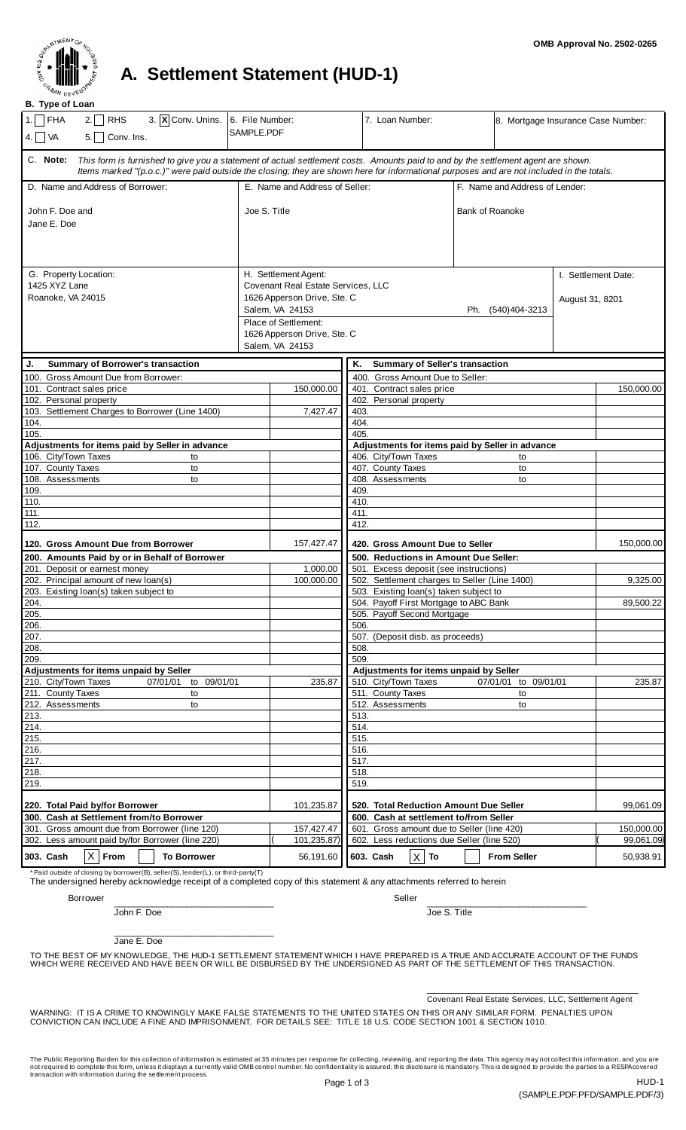

## **A. Settlement Statement (HUD-1)**

**B. Type of Loan**

| $2.\Box$ RHS<br>$1.\Box$<br>FHA<br>3. $\overline{X}$ Conv. Unins. 6. File Number:<br>$5.$ Conv. Ins.<br>4. $\Box$ VA                                                                                                                                                                       | SAMPLE.PDF                                                                                                                                                                             | 7. Loan Number:                                     | 8. Mortgage Insurance Case Number: |                                        |  |
|--------------------------------------------------------------------------------------------------------------------------------------------------------------------------------------------------------------------------------------------------------------------------------------------|----------------------------------------------------------------------------------------------------------------------------------------------------------------------------------------|-----------------------------------------------------|------------------------------------|----------------------------------------|--|
| C. Note:<br>This form is furnished to give you a statement of actual settlement costs. Amounts paid to and by the settlement agent are shown.<br>Items marked "(p.o.c.)" were paid outside the closing; they are shown here for informational purposes and are not included in the totals. |                                                                                                                                                                                        |                                                     |                                    |                                        |  |
| D. Name and Address of Borrower:                                                                                                                                                                                                                                                           | E. Name and Address of Seller:                                                                                                                                                         |                                                     | F. Name and Address of Lender:     |                                        |  |
| John F. Doe and<br>Jane E. Doe                                                                                                                                                                                                                                                             | Joe S. Title                                                                                                                                                                           |                                                     | <b>Bank of Roanoke</b>             |                                        |  |
| G. Property Location:<br>1425 XYZ Lane<br>Roanoke, VA 24015                                                                                                                                                                                                                                | H. Settlement Agent:<br>Covenant Real Estate Services, LLC<br>1626 Apperson Drive, Ste. C<br>Salem, VA 24153<br>Place of Settlement:<br>1626 Apperson Drive, Ste. C<br>Salem, VA 24153 |                                                     | Ph. (540)404-3213                  | I. Settlement Date:<br>August 31, 8201 |  |
| <b>Summary of Borrower's transaction</b><br>J.                                                                                                                                                                                                                                             |                                                                                                                                                                                        | Κ.<br><b>Summary of Seller's transaction</b>        |                                    |                                        |  |
| 100. Gross Amount Due from Borrower:                                                                                                                                                                                                                                                       |                                                                                                                                                                                        | 400. Gross Amount Due to Seller:                    |                                    |                                        |  |
| 101. Contract sales price<br>102. Personal property                                                                                                                                                                                                                                        | 150,000.00                                                                                                                                                                             | 401. Contract sales price<br>402. Personal property |                                    | 150,000.00                             |  |
| 103. Settlement Charges to Borrower (Line 1400)                                                                                                                                                                                                                                            | 7.427.47                                                                                                                                                                               | 403.                                                |                                    |                                        |  |
| 104.                                                                                                                                                                                                                                                                                       |                                                                                                                                                                                        | 404.                                                |                                    |                                        |  |
| 105.                                                                                                                                                                                                                                                                                       |                                                                                                                                                                                        | 405.                                                |                                    |                                        |  |
| Adjustments for items paid by Seller in advance                                                                                                                                                                                                                                            |                                                                                                                                                                                        | Adjustments for items paid by Seller in advance     |                                    |                                        |  |
| 106. City/Town Taxes<br>to                                                                                                                                                                                                                                                                 |                                                                                                                                                                                        | 406. City/Town Taxes                                | to                                 |                                        |  |
| 107. County Taxes<br>to<br>108. Assessments<br>to                                                                                                                                                                                                                                          |                                                                                                                                                                                        | 407. County Taxes                                   | to                                 |                                        |  |
| 109.                                                                                                                                                                                                                                                                                       |                                                                                                                                                                                        | 408. Assessments<br>to<br>409.                      |                                    |                                        |  |
| 110.                                                                                                                                                                                                                                                                                       |                                                                                                                                                                                        | 410.                                                |                                    |                                        |  |
| 111.                                                                                                                                                                                                                                                                                       |                                                                                                                                                                                        | 411.                                                |                                    |                                        |  |
| 112.                                                                                                                                                                                                                                                                                       |                                                                                                                                                                                        | 412.                                                |                                    |                                        |  |
| 120. Gross Amount Due from Borrower                                                                                                                                                                                                                                                        | 157,427.47                                                                                                                                                                             | 420. Gross Amount Due to Seller                     |                                    | 150,000.00                             |  |
| 200. Amounts Paid by or in Behalf of Borrower                                                                                                                                                                                                                                              |                                                                                                                                                                                        | 500. Reductions in Amount Due Seller:               |                                    |                                        |  |
| 201. Deposit or earnest money                                                                                                                                                                                                                                                              | 1,000.00                                                                                                                                                                               | 501. Excess deposit (see instructions)              |                                    |                                        |  |
| 202. Principal amount of new loan(s)                                                                                                                                                                                                                                                       | 100,000.00                                                                                                                                                                             | 502. Settlement charges to Seller (Line 1400)       |                                    | 9,325.00                               |  |
| 203. Existing loan(s) taken subject to                                                                                                                                                                                                                                                     |                                                                                                                                                                                        | 503. Existing loan(s) taken subject to              |                                    |                                        |  |
| 204.                                                                                                                                                                                                                                                                                       |                                                                                                                                                                                        | 504. Payoff First Mortgage to ABC Bank<br>89,500.22 |                                    |                                        |  |
| 205.                                                                                                                                                                                                                                                                                       |                                                                                                                                                                                        | 505. Payoff Second Mortgage                         |                                    |                                        |  |
| 206.                                                                                                                                                                                                                                                                                       |                                                                                                                                                                                        | 506.                                                |                                    |                                        |  |
| 207.                                                                                                                                                                                                                                                                                       |                                                                                                                                                                                        | 507. (Deposit disb. as proceeds)                    |                                    |                                        |  |
| 208.<br>209.                                                                                                                                                                                                                                                                               |                                                                                                                                                                                        | 508.<br>509.                                        |                                    |                                        |  |
| Adjustments for items unpaid by Seller                                                                                                                                                                                                                                                     |                                                                                                                                                                                        | Adjustments for items unpaid by Seller              |                                    |                                        |  |
| 210. City/Town Taxes<br>07/01/01 to 09/01/01                                                                                                                                                                                                                                               | 235.87                                                                                                                                                                                 | 510. City/Town Taxes                                | 07/01/01 to 09/01/01               | 235.87                                 |  |
| 211. County Taxes<br>to                                                                                                                                                                                                                                                                    |                                                                                                                                                                                        | 511. County Taxes                                   | to                                 |                                        |  |
| 212. Assessments<br>to                                                                                                                                                                                                                                                                     |                                                                                                                                                                                        | 512. Assessments                                    | to                                 |                                        |  |
| 213.                                                                                                                                                                                                                                                                                       |                                                                                                                                                                                        | 513.                                                |                                    |                                        |  |
| 214.                                                                                                                                                                                                                                                                                       |                                                                                                                                                                                        | 514.                                                |                                    |                                        |  |
| 215.                                                                                                                                                                                                                                                                                       |                                                                                                                                                                                        | 515.                                                |                                    |                                        |  |
| 216.                                                                                                                                                                                                                                                                                       |                                                                                                                                                                                        | 516.                                                |                                    |                                        |  |
| 217.<br>218.                                                                                                                                                                                                                                                                               |                                                                                                                                                                                        | 517.<br>518.                                        |                                    |                                        |  |
| 219.                                                                                                                                                                                                                                                                                       |                                                                                                                                                                                        | 519.                                                |                                    |                                        |  |
| 220. Total Paid by/for Borrower                                                                                                                                                                                                                                                            | 101,235.87                                                                                                                                                                             | 520. Total Reduction Amount Due Seller              |                                    | 99,061.09                              |  |
| 300. Cash at Settlement from/to Borrower<br>600. Cash at settlement to/from Seller                                                                                                                                                                                                         |                                                                                                                                                                                        |                                                     |                                    |                                        |  |
| 301. Gross amount due from Borrower (line 120)                                                                                                                                                                                                                                             | 157,427.47                                                                                                                                                                             | 601. Gross amount due to Seller (line 420)          |                                    | 150,000.00                             |  |
| 302. Less amount paid by/for Borrower (line 220)                                                                                                                                                                                                                                           | 101,235.87)                                                                                                                                                                            | 602. Less reductions due Seller (line 520)          |                                    | 99,061.09)                             |  |
| $\vert X \vert$<br>From<br>303. Cash<br><b>To Borrower</b>                                                                                                                                                                                                                                 | 56,191.60                                                                                                                                                                              | $X $ To<br>603. Cash                                | <b>From Seller</b>                 | 50,938.91                              |  |

\* Paid outside of closing by borrower(B), seller(S), lender(L), or third-party(T) The undersigned hereby acknowledge receipt of a completed copy of this statement & any attachments referred to herein

Borrower Seller and the self-control of the self-control of the self-control of the Seller

Jane E. Doe

John F. Doe

\_\_\_\_\_\_\_\_\_\_\_\_\_\_\_\_\_\_\_\_\_\_\_\_\_\_\_\_\_\_\_\_\_

\_\_\_\_\_\_\_\_\_\_\_\_\_\_\_\_\_\_\_\_\_\_\_\_\_\_\_\_\_\_\_\_\_

TO THE BEST OF MY KNOWLEDGE, THE HUD-1 SETTLEMENT STATEMENT WHICH I HAVE PREPARED IS A TRUE AND ACCURATE ACCOUNT OF THE FUNDS<br>WHICH WERE RECEIVED AND HAVE BEEN OR WILL BE DISBURSED BY THE UNDERSIGNED AS PART OF THE SETTLEM

Covenant Real Estate Services, LLC, Settlement Agent

\_\_\_\_\_\_\_\_\_\_\_\_\_\_\_\_\_\_\_\_\_\_\_\_\_\_\_\_\_\_\_\_\_

Joe S. Title

WARNING: IT IS A CRIME TO KNOWINGLY MAKE FALSE STATEMENTS TO THE UNITED STATES ON THIS OR ANY SIMILAR FORM. PENALTIES UPON<br>CONVICTION CAN INCLUDE A FINE AND IMPRISONMENT. FOR DETAILS SEE: TITLE 18 U.S. CODE SECTION 1001

The Public Reporting Burden for this collection of information is estimated at 35 minutes per response for collecting, reviewing, and reporting the data. This agency may not collect this information, and you are not requir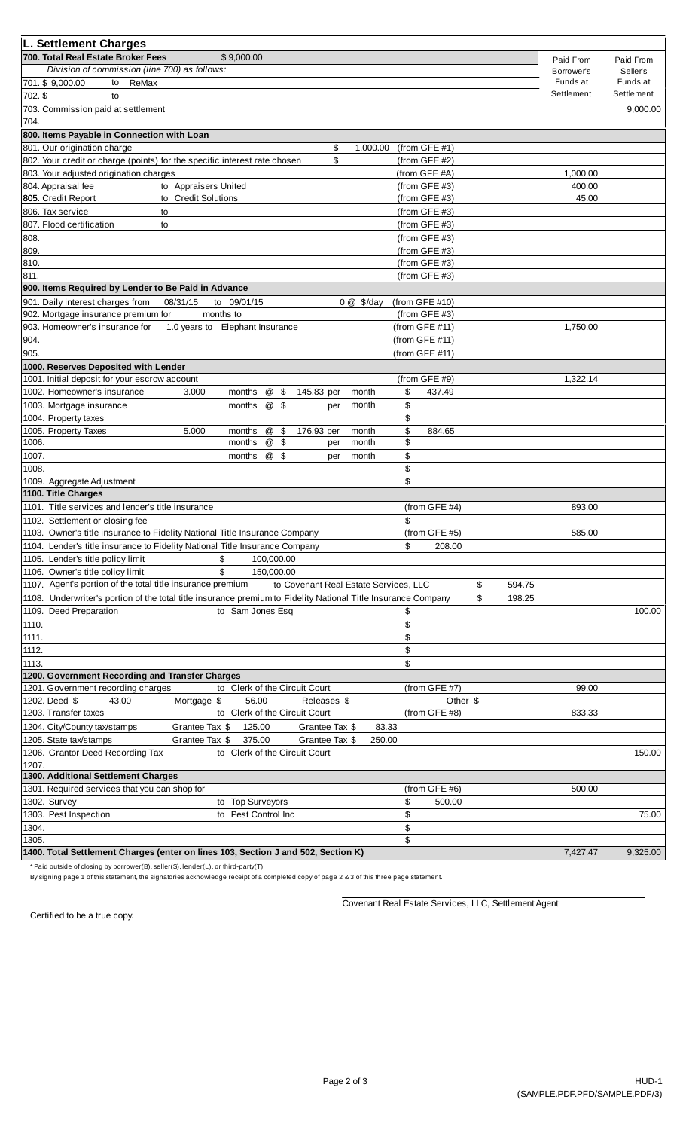| L. Settlement Charges                                                                                         |                   |            |            |
|---------------------------------------------------------------------------------------------------------------|-------------------|------------|------------|
| 700. Total Real Estate Broker Fees<br>\$9,000.00                                                              |                   | Paid From  | Paid From  |
| Division of commission (line 700) as follows:                                                                 |                   | Borrower's | Seller's   |
| 701. \$9,000.00<br>to ReMax                                                                                   |                   | Funds at   | Funds at   |
| 702. \$<br>to                                                                                                 |                   | Settlement | Settlement |
| 703. Commission paid at settlement                                                                            |                   |            | 9,000.00   |
| 704.                                                                                                          |                   |            |            |
| 800. Items Payable in Connection with Loan                                                                    |                   |            |            |
| 801. Our origination charge<br>\$<br>1,000.00                                                                 | (from GFE $#1$ )  |            |            |
| \$<br>802. Your credit or charge (points) for the specific interest rate chosen                               | (from GFE #2)     |            |            |
| 803. Your adjusted origination charges                                                                        | (from GFE #A)     | 1,000.00   |            |
| 804. Appraisal fee<br>to Appraisers United                                                                    | (from GFE #3)     | 400.00     |            |
| to Credit Solutions<br>805. Credit Report                                                                     | (from $GFE$ #3)   | 45.00      |            |
| 806. Tax service<br>to                                                                                        | (from GFE $#3$ )  |            |            |
| 807. Flood certification<br>to                                                                                | (from GFE $#3$ )  |            |            |
| 808.                                                                                                          | (from GFE $#3$ )  |            |            |
| 809.                                                                                                          | (from $GFE$ #3)   |            |            |
| 810.                                                                                                          | (from GFE $#3$ )  |            |            |
| 811.                                                                                                          | (from GFE #3)     |            |            |
| 900. Items Required by Lender to Be Paid in Advance                                                           |                   |            |            |
| 901. Daily interest charges from<br>08/31/15<br>to 09/01/15<br>$0 @$ \$/day                                   | (from GFE $#10$ ) |            |            |
| 902. Mortgage insurance premium for<br>months to                                                              | (from GFE $#3$ )  |            |            |
| 1.0 years to Elephant Insurance<br>903. Homeowner's insurance for                                             | (from GFE #11)    | 1,750.00   |            |
| 904.                                                                                                          | (from GFE #11)    |            |            |
| 905.                                                                                                          | (from GFE #11)    |            |            |
| 1000. Reserves Deposited with Lender                                                                          |                   |            |            |
| 1001. Initial deposit for your escrow account                                                                 | (from GFE #9)     | 1,322.14   |            |
| 1002. Homeowner's insurance<br>@<br>\$<br>month<br>3.000<br>months<br>145.83 per                              | \$<br>437.49      |            |            |
| @ \$<br>month<br>1003. Mortgage insurance<br>months<br>per                                                    | \$                |            |            |
| 1004. Property taxes                                                                                          | \$                |            |            |
| 1005. Property Taxes<br>@ \$<br>5.000<br>176.93 per<br>month<br>months                                        | \$<br>884.65      |            |            |
| 1006.<br>@<br>months<br>-\$<br>month<br>per                                                                   | \$                |            |            |
| 1007.<br>@<br>months<br>- \$<br>month<br>per                                                                  | \$                |            |            |
| 1008.                                                                                                         | \$                |            |            |
| 1009. Aggregate Adjustment                                                                                    | \$                |            |            |
| 1100. Title Charges                                                                                           |                   |            |            |
| 1101. Title services and lender's title insurance                                                             | (from GFE #4)     | 893.00     |            |
| 1102. Settlement or closing fee                                                                               | \$                |            |            |
| 1103. Owner's title insurance to Fidelity National Title Insurance Company                                    | (from GFE $#5$ )  | 585.00     |            |
| 1104. Lender's title insurance to Fidelity National Title Insurance Company                                   | \$<br>208.00      |            |            |
| 1105. Lender's title policy limit<br>\$<br>100,000.00                                                         |                   |            |            |
| 1106. Owner's title policy limit<br>\$<br>150,000.00                                                          |                   |            |            |
| 1107. Agent's portion of the total title insurance premium<br>to Covenant Real Estate Services, LLC           | \$<br>594.75      |            |            |
| 1108. Underwriter's portion of the total title insurance premium to Fidelity National Title Insurance Company | \$<br>198.25      |            |            |
| 1109. Deed Preparation<br>to Sam Jones Esq                                                                    | \$                |            | 100.00     |
| 1110.                                                                                                         | \$                |            |            |
| 1111.                                                                                                         | \$                |            |            |
| 1112.                                                                                                         | \$                |            |            |
| 1113.                                                                                                         | \$                |            |            |
| 1200. Government Recording and Transfer Charges                                                               |                   |            |            |
| 1201. Government recording charges<br>to Clerk of the Circuit Court                                           | (from GFE #7)     | 99.00      |            |
| Mortgage \$<br>1202. Deed \$<br>43.00<br>56.00<br>Releases \$                                                 | Other \$          |            |            |
| to Clerk of the Circuit Court<br>1203. Transfer taxes                                                         | (from GFE #8)     | 833.33     |            |
| 1204. City/County tax/stamps<br>Grantee Tax \$<br>125.00<br>Grantee Tax \$<br>83.33                           |                   |            |            |
| 375.00<br>1205. State tax/stamps<br>Grantee Tax \$<br>Grantee Tax \$<br>250.00                                |                   |            |            |
| 1206. Grantor Deed Recording Tax<br>to Clerk of the Circuit Court                                             |                   |            | 150.00     |
| 1207.<br>1300. Additional Settlement Charges                                                                  |                   |            |            |
| 1301. Required services that you can shop for                                                                 | (from GFE #6)     | 500.00     |            |
| 1302. Survey<br><b>Top Surveyors</b><br>to                                                                    | \$<br>500.00      |            |            |
| 1303. Pest Inspection<br>to Pest Control Inc                                                                  | \$                |            | 75.00      |
| 1304.                                                                                                         | \$                |            |            |
| 1305.                                                                                                         | \$                |            |            |
| 1400. Total Settlement Charges (enter on lines 103, Section J and 502, Section K)                             |                   | 7,427.47   | 9,325.00   |
|                                                                                                               |                   |            |            |

\* Paid outside of closing by borrower(B), seller(S), lender(L), or third-party(T)

By signing page 1 of this statement, the signatories acknowledge receipt of a completed copy of page 2 & 3 of this three page statement.

Covenant Real Estate Services, LLC, Settlement Agent

Certified to be a true copy.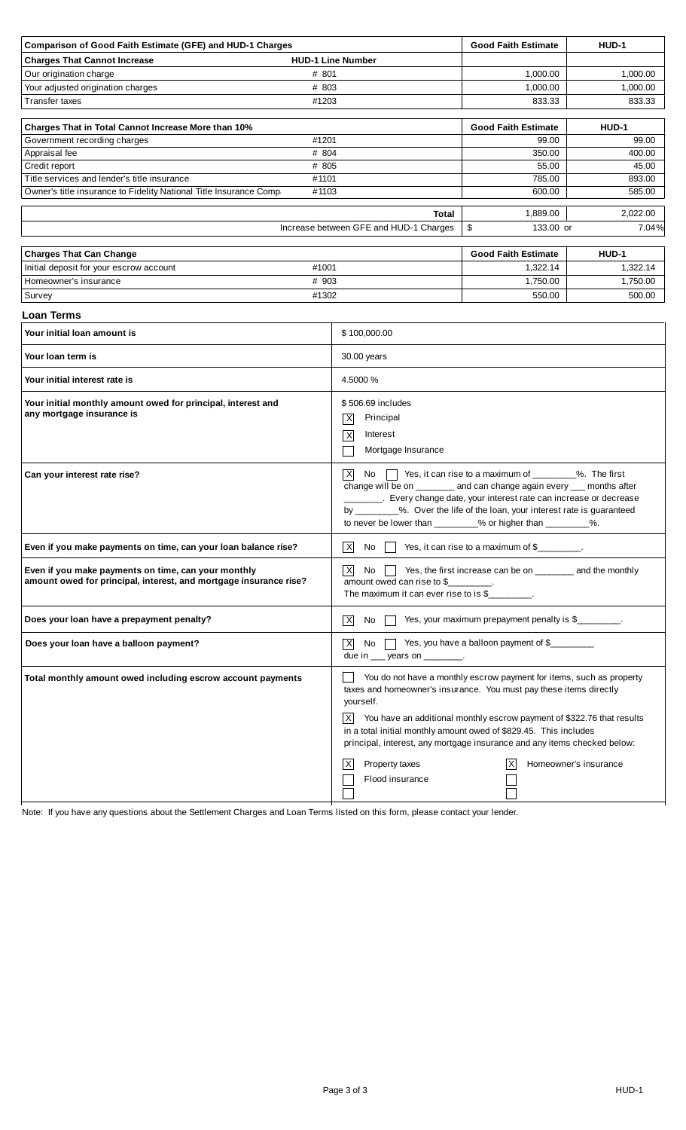| <b>Charges That Cannot Increase</b><br><b>HUD-1 Line Number</b><br>Our origination charge<br># 801<br># 803<br>Your adjusted origination charges<br><b>Transfer taxes</b><br>#1203<br>Charges That in Total Cannot Increase More than 10%<br>Government recording charges<br>#1201<br># 804<br>Appraisal fee<br>Credit report<br># 805<br>Title services and lender's title insurance<br>#1101<br>Owner's title insurance to Fidelity National Title Insurance Comp<br>#1103<br>Increase between GFE and HUD-1 Charges | 1,000.00<br>1,000.00                                                                                                                                                                                                                                                                                                                                                                                                                      | <b>Good Faith Estimate</b><br>HUD-1 |  |  |  |
|------------------------------------------------------------------------------------------------------------------------------------------------------------------------------------------------------------------------------------------------------------------------------------------------------------------------------------------------------------------------------------------------------------------------------------------------------------------------------------------------------------------------|-------------------------------------------------------------------------------------------------------------------------------------------------------------------------------------------------------------------------------------------------------------------------------------------------------------------------------------------------------------------------------------------------------------------------------------------|-------------------------------------|--|--|--|
|                                                                                                                                                                                                                                                                                                                                                                                                                                                                                                                        |                                                                                                                                                                                                                                                                                                                                                                                                                                           |                                     |  |  |  |
|                                                                                                                                                                                                                                                                                                                                                                                                                                                                                                                        |                                                                                                                                                                                                                                                                                                                                                                                                                                           | 1,000.00                            |  |  |  |
|                                                                                                                                                                                                                                                                                                                                                                                                                                                                                                                        |                                                                                                                                                                                                                                                                                                                                                                                                                                           | 1,000.00                            |  |  |  |
|                                                                                                                                                                                                                                                                                                                                                                                                                                                                                                                        | 833.33                                                                                                                                                                                                                                                                                                                                                                                                                                    | 833.33                              |  |  |  |
|                                                                                                                                                                                                                                                                                                                                                                                                                                                                                                                        |                                                                                                                                                                                                                                                                                                                                                                                                                                           |                                     |  |  |  |
|                                                                                                                                                                                                                                                                                                                                                                                                                                                                                                                        | <b>Good Faith Estimate</b>                                                                                                                                                                                                                                                                                                                                                                                                                | <b>HUD-1</b>                        |  |  |  |
|                                                                                                                                                                                                                                                                                                                                                                                                                                                                                                                        | 99.00<br>350.00                                                                                                                                                                                                                                                                                                                                                                                                                           | 99.00<br>400.00                     |  |  |  |
|                                                                                                                                                                                                                                                                                                                                                                                                                                                                                                                        | 55.00                                                                                                                                                                                                                                                                                                                                                                                                                                     | 45.00                               |  |  |  |
|                                                                                                                                                                                                                                                                                                                                                                                                                                                                                                                        | 785.00                                                                                                                                                                                                                                                                                                                                                                                                                                    | 893.00                              |  |  |  |
|                                                                                                                                                                                                                                                                                                                                                                                                                                                                                                                        | 600.00                                                                                                                                                                                                                                                                                                                                                                                                                                    | 585.00                              |  |  |  |
|                                                                                                                                                                                                                                                                                                                                                                                                                                                                                                                        |                                                                                                                                                                                                                                                                                                                                                                                                                                           |                                     |  |  |  |
|                                                                                                                                                                                                                                                                                                                                                                                                                                                                                                                        | 1,889.00<br>Total                                                                                                                                                                                                                                                                                                                                                                                                                         | 2,022.00                            |  |  |  |
|                                                                                                                                                                                                                                                                                                                                                                                                                                                                                                                        | \$                                                                                                                                                                                                                                                                                                                                                                                                                                        | 133.00 or<br>7.04%                  |  |  |  |
| <b>Charges That Can Change</b>                                                                                                                                                                                                                                                                                                                                                                                                                                                                                         | <b>Good Faith Estimate</b>                                                                                                                                                                                                                                                                                                                                                                                                                | <b>HUD-1</b>                        |  |  |  |
| Initial deposit for your escrow account<br>#1001                                                                                                                                                                                                                                                                                                                                                                                                                                                                       | 1,322.14                                                                                                                                                                                                                                                                                                                                                                                                                                  | 1,322.14                            |  |  |  |
| Homeowner's insurance<br># 903                                                                                                                                                                                                                                                                                                                                                                                                                                                                                         | 1,750.00                                                                                                                                                                                                                                                                                                                                                                                                                                  | 1,750.00                            |  |  |  |
| #1302<br>Survey                                                                                                                                                                                                                                                                                                                                                                                                                                                                                                        | 550.00                                                                                                                                                                                                                                                                                                                                                                                                                                    | 500.00                              |  |  |  |
| Loan Terms                                                                                                                                                                                                                                                                                                                                                                                                                                                                                                             |                                                                                                                                                                                                                                                                                                                                                                                                                                           |                                     |  |  |  |
| Your initial loan amount is<br>\$100,000.00                                                                                                                                                                                                                                                                                                                                                                                                                                                                            |                                                                                                                                                                                                                                                                                                                                                                                                                                           |                                     |  |  |  |
|                                                                                                                                                                                                                                                                                                                                                                                                                                                                                                                        |                                                                                                                                                                                                                                                                                                                                                                                                                                           |                                     |  |  |  |
| 30.00 years<br>Your Ioan term is                                                                                                                                                                                                                                                                                                                                                                                                                                                                                       |                                                                                                                                                                                                                                                                                                                                                                                                                                           |                                     |  |  |  |
| 4.5000 %<br>Your initial interest rate is                                                                                                                                                                                                                                                                                                                                                                                                                                                                              |                                                                                                                                                                                                                                                                                                                                                                                                                                           |                                     |  |  |  |
| Your initial monthly amount owed for principal, interest and<br>any mortgage insurance is<br>Principal<br> X <br>Interest<br>$\overline{\mathsf{x}}$                                                                                                                                                                                                                                                                                                                                                                   | \$506.69 includes<br>Mortgage Insurance                                                                                                                                                                                                                                                                                                                                                                                                   |                                     |  |  |  |
| $\vert x \vert$<br>Can your interest rate rise?<br>by $\overline{\phantom{a}}$                                                                                                                                                                                                                                                                                                                                                                                                                                         | No $\parallel$ Yes, it can rise to a maximum of $\_\_\_\_\_\$ %. The first<br>change will be on _______ and can change again every ___ months after<br>__________. Every change date, your interest rate can increase or decrease<br>_%. Over the life of the loan, your interest rate is guaranteed<br>to never be lower than _________% or higher than _________%.                                                                      |                                     |  |  |  |
| $\vert$ X<br>Even if you make payments on time, can your loan balance rise?<br>Yes, it can rise to a maximum of \$<br>No.                                                                                                                                                                                                                                                                                                                                                                                              |                                                                                                                                                                                                                                                                                                                                                                                                                                           |                                     |  |  |  |
| $\overline{\mathsf{x}}$<br>Even if you make payments on time, can your monthly<br>No<br>amount owed for principal, interest, and mortgage insurance rise?                                                                                                                                                                                                                                                                                                                                                              | Yes, the first increase can be on ________ and the monthly<br>amount owed can rise to \$<br>The maximum it can ever rise to is \$                                                                                                                                                                                                                                                                                                         |                                     |  |  |  |
| Does your loan have a prepayment penalty?<br> X <br>No.                                                                                                                                                                                                                                                                                                                                                                                                                                                                | Yes, your maximum prepayment penalty is \$                                                                                                                                                                                                                                                                                                                                                                                                |                                     |  |  |  |
| Does your loan have a balloon payment?<br> X <br>No.                                                                                                                                                                                                                                                                                                                                                                                                                                                                   | Yes, you have a balloon payment of \$<br>due in ___ years on ________.                                                                                                                                                                                                                                                                                                                                                                    |                                     |  |  |  |
| Total monthly amount owed including escrow account payments<br>yourself.<br> X <br> X                                                                                                                                                                                                                                                                                                                                                                                                                                  | You do not have a monthly escrow payment for items, such as property<br>taxes and homeowner's insurance. You must pay these items directly<br>You have an additional monthly escrow payment of \$322.76 that results<br>in a total initial monthly amount owed of \$829.45. This includes<br>principal, interest, any mortgage insurance and any items checked below:<br>Property taxes<br>Homeowner's insurance<br>ΙX<br>Flood insurance |                                     |  |  |  |

Note: If you have any questions about the Settlement Charges and Loan Terms listed on this form, please contact your lender.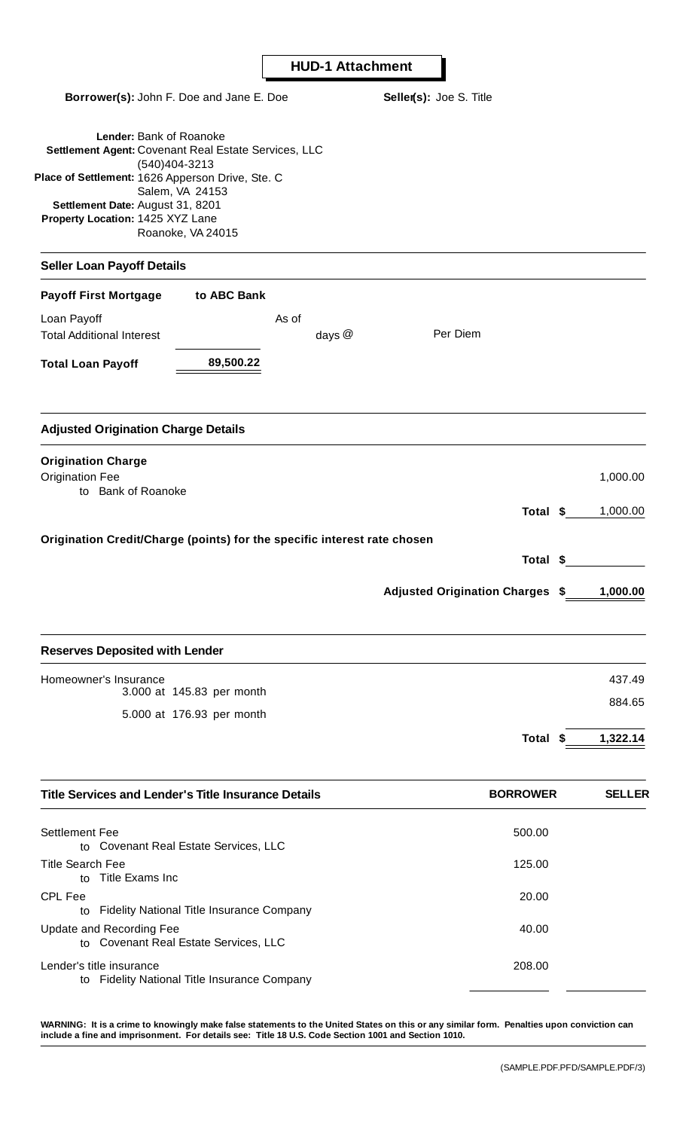T

| Borrower(s): John F. Doe and Jane E. Doe                                                                                                                                                                                                                             | Seller(s): Joe S. Title                |               |
|----------------------------------------------------------------------------------------------------------------------------------------------------------------------------------------------------------------------------------------------------------------------|----------------------------------------|---------------|
| Lender: Bank of Roanoke<br>Settlement Agent: Covenant Real Estate Services, LLC<br>(540)404-3213<br>Place of Settlement: 1626 Apperson Drive, Ste. C<br>Salem, VA 24153<br>Settlement Date: August 31, 8201<br>Property Location: 1425 XYZ Lane<br>Roanoke, VA 24015 |                                        |               |
| <b>Seller Loan Payoff Details</b>                                                                                                                                                                                                                                    |                                        |               |
| <b>Payoff First Mortgage</b><br>to ABC Bank                                                                                                                                                                                                                          |                                        |               |
| Loan Payoff<br>As of<br><b>Total Additional Interest</b><br>days $@$                                                                                                                                                                                                 | Per Diem                               |               |
| 89,500.22<br><b>Total Loan Payoff</b>                                                                                                                                                                                                                                |                                        |               |
| <b>Adjusted Origination Charge Details</b>                                                                                                                                                                                                                           |                                        |               |
| <b>Origination Charge</b><br><b>Origination Fee</b><br>to Bank of Roanoke                                                                                                                                                                                            |                                        | 1,000.00      |
|                                                                                                                                                                                                                                                                      | Total \$                               | 1,000.00      |
| Origination Credit/Charge (points) for the specific interest rate chosen                                                                                                                                                                                             | Total \$                               |               |
|                                                                                                                                                                                                                                                                      | <b>Adjusted Origination Charges \$</b> | 1,000.00      |
| <b>Reserves Deposited with Lender</b>                                                                                                                                                                                                                                |                                        |               |
| Homeowner's Insurance                                                                                                                                                                                                                                                |                                        | 437.49        |
| 3.000 at 145.83 per month<br>5.000 at 176.93 per month                                                                                                                                                                                                               |                                        | 884.65        |
|                                                                                                                                                                                                                                                                      | Total \$                               | 1,322.14      |
| <b>Title Services and Lender's Title Insurance Details</b>                                                                                                                                                                                                           | <b>BORROWER</b>                        | <b>SELLER</b> |
| <b>Settlement Fee</b><br>to Covenant Real Estate Services, LLC                                                                                                                                                                                                       | 500.00                                 |               |
| <b>Title Search Fee</b><br>to Title Exams Inc                                                                                                                                                                                                                        | 125.00                                 |               |
| <b>CPL Fee</b><br><b>Fidelity National Title Insurance Company</b><br>to                                                                                                                                                                                             | 20.00                                  |               |
| Update and Recording Fee<br>to Covenant Real Estate Services, LLC                                                                                                                                                                                                    | 40.00                                  |               |
| Lender's title insurance<br>to Fidelity National Title Insurance Company                                                                                                                                                                                             | 208.00                                 |               |

**WARNING: It is a crime to knowingly make false statements to the United States on this or any similar form. Penalties upon conviction can include a fine and imprisonment. For details see: Title 18 U.S. Code Section 1001 and Section 1010.**